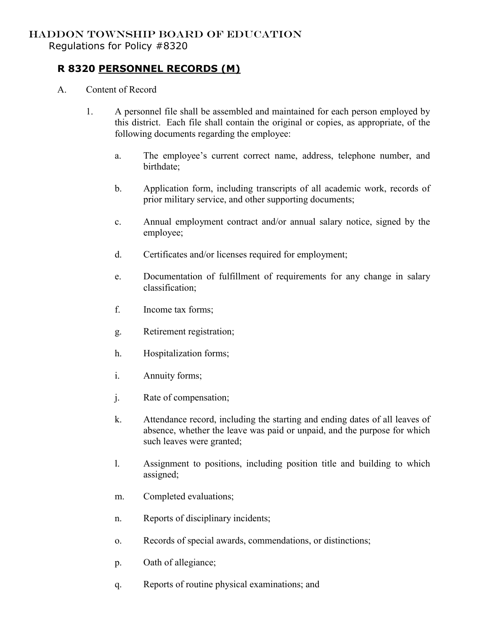## HADDON TOWNSHIP BOARD OF EDUCATION

Regulations for Policy #8320

## **R 8320 PERSONNEL RECORDS (M)**

- A. Content of Record
	- 1. A personnel file shall be assembled and maintained for each person employed by this district. Each file shall contain the original or copies, as appropriate, of the following documents regarding the employee:
		- a. The employee's current correct name, address, telephone number, and birthdate;
		- b. Application form, including transcripts of all academic work, records of prior military service, and other supporting documents;
		- c. Annual employment contract and/or annual salary notice, signed by the employee;
		- d. Certificates and/or licenses required for employment;
		- e. Documentation of fulfillment of requirements for any change in salary classification;
		- f. Income tax forms;
		- g. Retirement registration;
		- h. Hospitalization forms;
		- i. Annuity forms;
		- j. Rate of compensation;
		- k. Attendance record, including the starting and ending dates of all leaves of absence, whether the leave was paid or unpaid, and the purpose for which such leaves were granted;
		- l. Assignment to positions, including position title and building to which assigned;
		- m. Completed evaluations;
		- n. Reports of disciplinary incidents;
		- o. Records of special awards, commendations, or distinctions;
		- p. Oath of allegiance;
		- q. Reports of routine physical examinations; and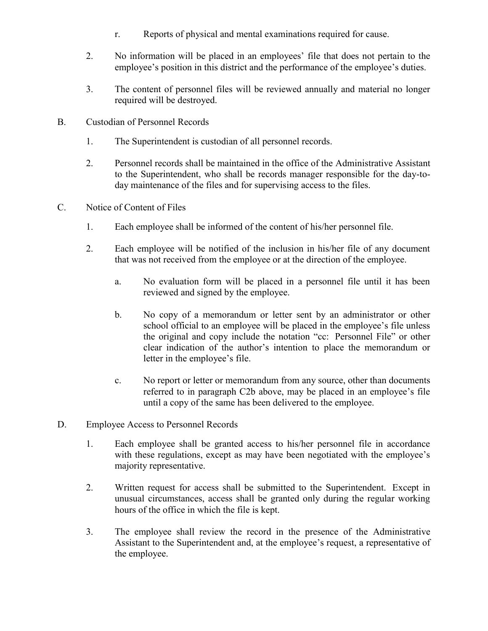- r. Reports of physical and mental examinations required for cause.
- 2. No information will be placed in an employees' file that does not pertain to the employee's position in this district and the performance of the employee's duties.
- 3. The content of personnel files will be reviewed annually and material no longer required will be destroyed.
- B. Custodian of Personnel Records
	- 1. The Superintendent is custodian of all personnel records.
	- 2. Personnel records shall be maintained in the office of the Administrative Assistant to the Superintendent, who shall be records manager responsible for the day-today maintenance of the files and for supervising access to the files.
- C. Notice of Content of Files
	- 1. Each employee shall be informed of the content of his/her personnel file.
	- 2. Each employee will be notified of the inclusion in his/her file of any document that was not received from the employee or at the direction of the employee.
		- a. No evaluation form will be placed in a personnel file until it has been reviewed and signed by the employee.
		- b. No copy of a memorandum or letter sent by an administrator or other school official to an employee will be placed in the employee's file unless the original and copy include the notation "cc: Personnel File" or other clear indication of the author's intention to place the memorandum or letter in the employee's file.
		- c. No report or letter or memorandum from any source, other than documents referred to in paragraph C2b above, may be placed in an employee's file until a copy of the same has been delivered to the employee.
- D. Employee Access to Personnel Records
	- 1. Each employee shall be granted access to his/her personnel file in accordance with these regulations, except as may have been negotiated with the employee's majority representative.
	- 2. Written request for access shall be submitted to the Superintendent. Except in unusual circumstances, access shall be granted only during the regular working hours of the office in which the file is kept.
	- 3. The employee shall review the record in the presence of the Administrative Assistant to the Superintendent and, at the employee's request, a representative of the employee.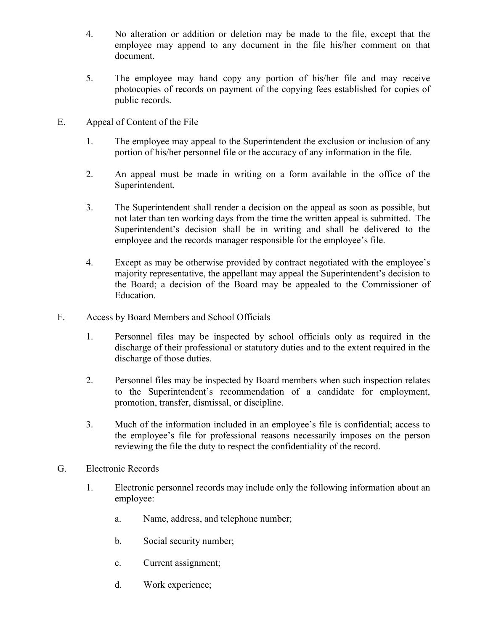- 4. No alteration or addition or deletion may be made to the file, except that the employee may append to any document in the file his/her comment on that document.
- 5. The employee may hand copy any portion of his/her file and may receive photocopies of records on payment of the copying fees established for copies of public records.
- E. Appeal of Content of the File
	- 1. The employee may appeal to the Superintendent the exclusion or inclusion of any portion of his/her personnel file or the accuracy of any information in the file.
	- 2. An appeal must be made in writing on a form available in the office of the Superintendent.
	- 3. The Superintendent shall render a decision on the appeal as soon as possible, but not later than ten working days from the time the written appeal is submitted. The Superintendent's decision shall be in writing and shall be delivered to the employee and the records manager responsible for the employee's file.
	- 4. Except as may be otherwise provided by contract negotiated with the employee's majority representative, the appellant may appeal the Superintendent's decision to the Board; a decision of the Board may be appealed to the Commissioner of Education.
- F. Access by Board Members and School Officials
	- 1. Personnel files may be inspected by school officials only as required in the discharge of their professional or statutory duties and to the extent required in the discharge of those duties.
	- 2. Personnel files may be inspected by Board members when such inspection relates to the Superintendent's recommendation of a candidate for employment, promotion, transfer, dismissal, or discipline.
	- 3. Much of the information included in an employee's file is confidential; access to the employee's file for professional reasons necessarily imposes on the person reviewing the file the duty to respect the confidentiality of the record.
- G. Electronic Records
	- 1. Electronic personnel records may include only the following information about an employee:
		- a. Name, address, and telephone number;
		- b. Social security number;
		- c. Current assignment;
		- d. Work experience;